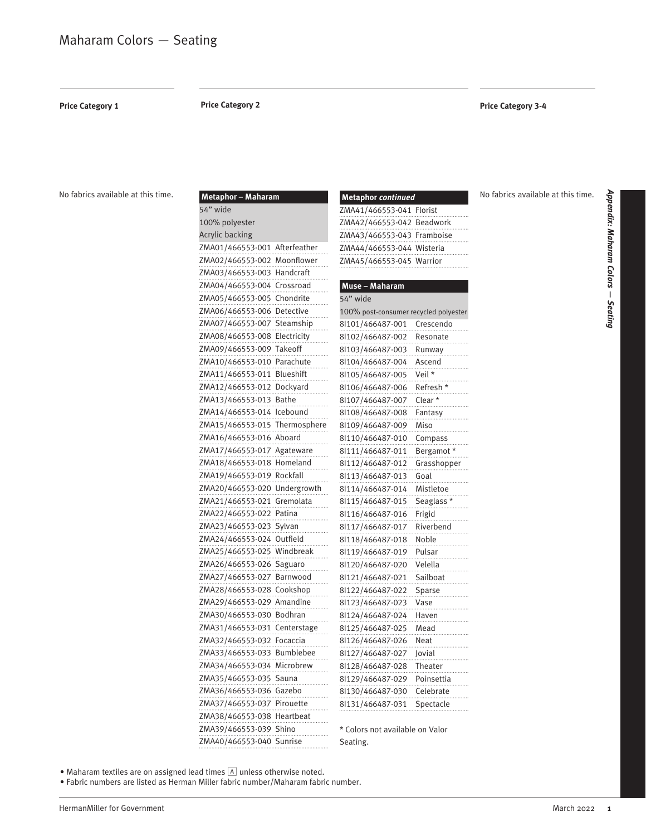**Price Category 1**

### **Price Category 2 Price Category 3-4**

No fabrics available at this time.

| Metaphor - Maharam            | Metaphor continued                    |
|-------------------------------|---------------------------------------|
| 54" wide                      | ZMA41/466553-041 Florist              |
| 100% polyester                | ZMA42/466553-042 Beadwork             |
| <b>Acrylic backing</b>        | ZMA43/466553-043 Framboise            |
| ZMA01/466553-001 Afterfeather | ZMA44/466553-044 Wisteria             |
| ZMA02/466553-002 Moonflower   | ZMA45/466553-045 Warrior              |
| ZMA03/466553-003 Handcraft    |                                       |
| ZMA04/466553-004 Crossroad    | Muse - Maharam                        |
| ZMA05/466553-005 Chondrite    | 54" wide                              |
| ZMA06/466553-006 Detective    | 100% post-consumer recycled polyester |
| ZMA07/466553-007 Steamship    | Crescendo<br>8 101/466487-001         |
| ZMA08/466553-008 Electricity  | 8 102/466487-002<br>Resonate          |
| ZMA09/466553-009 Takeoff      | 8 103/466487-003<br>Runway            |
| ZMA10/466553-010 Parachute    | 8 104/466487-004<br>Ascend            |
| ZMA11/466553-011 Blueshift    | Veil *<br>8 105/466487-005            |
| ZMA12/466553-012 Dockyard     | 8 106/466487-006<br>Refresh *         |
| ZMA13/466553-013 Bathe        | Clear *<br>8 107/466487-007           |
| ZMA14/466553-014 Icebound     | 8 108/466487-008<br>Fantasy           |
| ZMA15/466553-015 Thermosphere | Miso<br>8 109/466487-009              |
| ZMA16/466553-016 Aboard       | 8 110/466487-010<br>Compass           |
| ZMA17/466553-017 Agateware    | 8 111/466487-011<br>Bergamot*         |
| ZMA18/466553-018 Homeland     | 8 112/466487-012<br>Grasshopper       |
| ZMA19/466553-019 Rockfall     | 8 113/466487-013<br>Goal              |
| ZMA20/466553-020 Undergrowth  | Mistletoe<br>8l114/466487-014         |
| ZMA21/466553-021 Gremolata    | 8 115/466487-015<br>Seaglass *        |
| ZMA22/466553-022 Patina       | Frigid<br>8 116/466487-016            |
| ZMA23/466553-023 Sylvan       | Riverbend<br>8 117/466487-017         |
| ZMA24/466553-024 Outfield     | Noble<br>8 118/466487-018             |
| ZMA25/466553-025 Windbreak    | Pulsar<br>8 119/466487-019            |
| ZMA26/466553-026 Saguaro      | Velella<br>8 120/466487-020           |
| ZMA27/466553-027 Barnwood     | Sailboat<br>8 121/466487-021          |
| ZMA28/466553-028 Cookshop     | 8 122/466487-022<br>Sparse            |
| ZMA29/466553-029 Amandine     | 8 123/466487-023<br>Vase              |
| ZMA30/466553-030 Bodhran      | 8 124/466487-024<br>Haven             |
| ZMA31/466553-031 Centerstage  | 8 125/466487-025<br>Mead              |
| ZMA32/466553-032 Focaccia     | 8 126/466487-026<br>Neat              |
| ZMA33/466553-033 Bumblebee    | 8 127/466487-027<br>Jovial            |
| ZMA34/466553-034 Microbrew    | Theater<br>8 128/466487-028           |
| ZMA35/466553-035 Sauna        | 8 129/466487-029<br>Poinsettia        |
| ZMA36/466553-036 Gazebo       | 8 130/466487-030<br>Celebrate         |
| ZMA37/466553-037 Pirouette    | 8 131/466487-031<br>Spectacle         |
| ZMA38/466553-038 Heartbeat    |                                       |
| ZMA39/466553-039 Shino        | * Colors not available on Valor       |
| ZMA40/466553-040 Sunrise      | Seating.                              |

No fabrics available at this time.

 $\bullet$  Maharam textiles are on assigned lead times  $\boxed{\mathbb{A}}$  unless otherwise noted.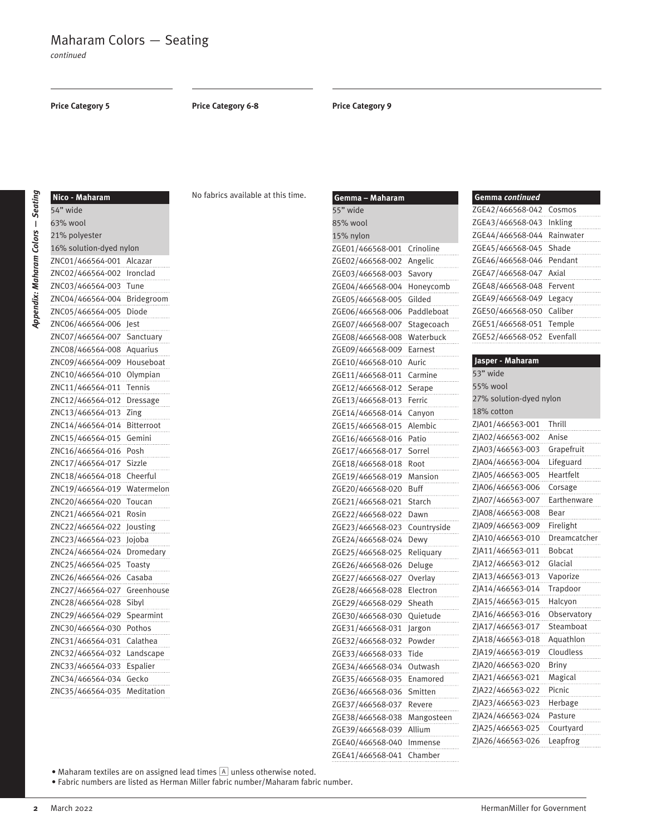# Maharam Colors — Seating

*continued*

**Price Category 5 Price Category 6-8 Price Category 9**

| t      |
|--------|
|        |
| í<br>ı |
|        |
|        |
|        |
| ı<br>ŧ |
|        |
| ı      |
|        |
| i      |
|        |
|        |
|        |
|        |
|        |
| ı      |
|        |
|        |
|        |
|        |
|        |
|        |
|        |

**—** *Seating*

| Nico - Maharam          |            |
|-------------------------|------------|
| 54" wide                |            |
| 63% wool                |            |
| 21% polyester           |            |
| 16% solution-dyed nylon |            |
| ZNC01/466564-001        | Alcazar    |
| ZNC02/466564-002        | Ironclad   |
| ZNC03/466564-003        | Tune       |
| ZNC04/466564-004        | Bridegroor |
| ZNC05/466564-005        | Diode      |
| ZNC06/466564-006        | Jest       |
| ZNC07/466564-007        | Sanctuar   |
| ZNC08/466564-008        | Aquarius   |
| ZNC09/466564-009        | Houseboat  |
| ZNC<br>10/466564-010    | Olympian   |
| 11/466564-011<br>ZNC    | Tennis     |
| ZNC12/466564-012        | Dressage   |
| ZNC13/466564-013        | Zing       |
| ZNC14/466564-014        | Bitterroot |
| ZNC15/466564-015        | Gemini     |
| ZNC<br>16/466564-016    | Posh       |
| 17/466564-017<br>ZNC    | Sizzle     |
| ZNC18/466564-018        | Cheerful   |
| ZNC19/466564-019        | Watermelon |
| ZNC20/466564-020        | Toucan     |
| ZNC21/466564-021        | Rosin      |
| ZNC22/466564-022        | Jousting   |
| 23/466564-023<br>ZNC    | Jojoba     |
| ZNC<br>24/466564-024    | Dromedar   |
| ZNC25/466564-025        | Toasty     |
| ZNC26/466564-026        | Casaba     |
| ZNC27/466564-027        | Greenhouse |
| ZNC28/466564-028        | Sibyl      |
| 29/466564-029<br>ZNC    | Spearmint  |
| ZNC<br>30/466564-030    | Pothos     |
| ZNC31/466564-031        | Calathea   |
| ZNC32/466564-032        | Landscape  |
| ZNC33/466564-033        | Espalier   |
| ZNC34/466564-034        | Gecko      |
| ZNC35/466564-035        | Meditation |

No fabrics available at this time.

| Gemma – Maharam  |             | Ģθ  |
|------------------|-------------|-----|
| 55" wide         |             | ΖG  |
| 85% wool         |             | ΖG  |
| 15% nylon        |             | ΖG  |
| ZGE01/466568-001 | Crinoline   | ΖG  |
| ZGE02/466568-002 | Angelic     | ΖG  |
| ZGE03/466568-003 | Savory      | ΖG  |
| ZGE04/466568-004 | Honeycomb   | ΖG  |
| ZGE05/466568-005 | Gilded      | ΖG  |
| ZGE06/466568-006 | Paddleboat  | ΖG  |
| ZGE07/466568-007 | Stagecoach  | ΖG  |
| ZGE08/466568-008 | Waterbuck   | ΖG  |
| ZGE09/466568-009 | Earnest     |     |
| ZGE10/466568-010 | Auric       | Ja: |
| ZGE11/466568-011 | Carmine     | 53  |
| ZGE12/466568-012 | Serape      | 55' |
| ZGE13/466568-013 | Ferric      | 27' |
| ZGE14/466568-014 | Canyon      | 18  |
| ZGE15/466568-015 | Alembic     | ΖJΑ |
| ZGE16/466568-016 | Patio       | ΖJΑ |
| ZGE17/466568-017 | Sorrel      | ZJA |
| ZGE18/466568-018 | Root        | ΖJΑ |
| ZGE19/466568-019 | Mansion     | ΖJΑ |
| ZGE20/466568-020 | Buff        | ΖJΑ |
| ZGE21/466568-021 | Starch      | ZJA |
| ZGE22/466568-022 | Dawn        | ZJA |
| ZGE23/466568-023 | Countryside | ZJA |
| ZGE24/466568-024 | Dewy        | ZJA |
| ZGE25/466568-025 | Reliquary   | ZJA |
| ZGE26/466568-026 | Deluge      | ZJA |
| ZGE27/466568-027 | Overlay     | ZJA |
| ZGE28/466568-028 | Electron    | ZJA |
| ZGE29/466568-029 | Sheath      | ZJA |
| ZGE30/466568-030 | Quietude    | ΖJΑ |
| ZGE31/466568-031 | Jargon      | ΖJΑ |
| ZGE32/466568-032 | Powder      | ZJA |
| ZGE33/466568-033 | Tide        | ΖJΑ |
| ZGE34/466568-034 | Outwash     | ZJA |
| ZGE35/466568-035 | Enamored    | ΖJΑ |
| ZGE36/466568-036 | Smitten     | ΖJΑ |
| ZGE37/466568-037 | Revere      | ΖJΑ |
| ZGE38/466568-038 | Mangosteen  | ΖJΑ |
| ZGE39/466568-039 | Allium      | ΖJΑ |
| ZGE40/466568-040 | Immense     | ΖJΑ |
| ZGE41/466568-041 | Chamber     |     |

# **Gemma** *continued* E42/466568-042 Cosmos E43/466568-043 Inkling E44/466568-044 Rainwater E45/466568-045 Shade E46/466568-046 Pendant E47/466568-047 Axial E48/466568-048 Fervent .......<br>E49/466568-049 Legacy E50/466568-050 Caliber E51/466568-051 Temple E52/466568-052 Evenfall

# **Jasper - Maharam**

| 53" wide                |               |  |
|-------------------------|---------------|--|
| 55% wool                |               |  |
| 27% solution-dyed nylon |               |  |
| 18% cotton              |               |  |
| ZJA01/466563-001        | Thrill        |  |
| ZJA02/466563-002        | Anise         |  |
| ZJA03/466563-003        | Grapefruit    |  |
| ZJA04/466563-004        | Lifeguard     |  |
| ZJA05/466563-005        | Heartfelt     |  |
| ZJA06/466563-006        | Corsage       |  |
| ZJA07/466563-007        | Earthenware   |  |
| ZJA08/466563-008        | Bear          |  |
| ZJA09/466563-009        | Firelight     |  |
| ZJA10/466563-010        | Dreamcatcher  |  |
| ZJA11/466563-011        | <b>Bobcat</b> |  |
| ZJA12/466563-012        | Glacial       |  |
| ZJA13/466563-013        | Vaporize      |  |
| ZJA14/466563-014        | Trapdoor      |  |
| ZJA15/466563-015        | Halcyon       |  |
| ZJA16/466563-016        | Observatory   |  |
| ZJA17/466563-017        | Steamboat     |  |
| ZJA18/466563-018        | Aquathlon     |  |
| ZJA19/466563-019        | Cloudless     |  |
| ZJA20/466563-020        | <b>Briny</b>  |  |
| ZJA21/466563-021        | Magical       |  |
| ZJA22/466563-022        | Picnic        |  |
| ZJA23/466563-023        | Herbage       |  |
| ZJA24/466563-024        | Pasture       |  |
| ZJA25/466563-025        | Courtyard     |  |
| ZJA26/466563-026        | Leapfrog      |  |
|                         |               |  |

 $\bullet$  Maharam textiles are on assigned lead times  $\boxed{\mathbb{A}}$  unless otherwise noted.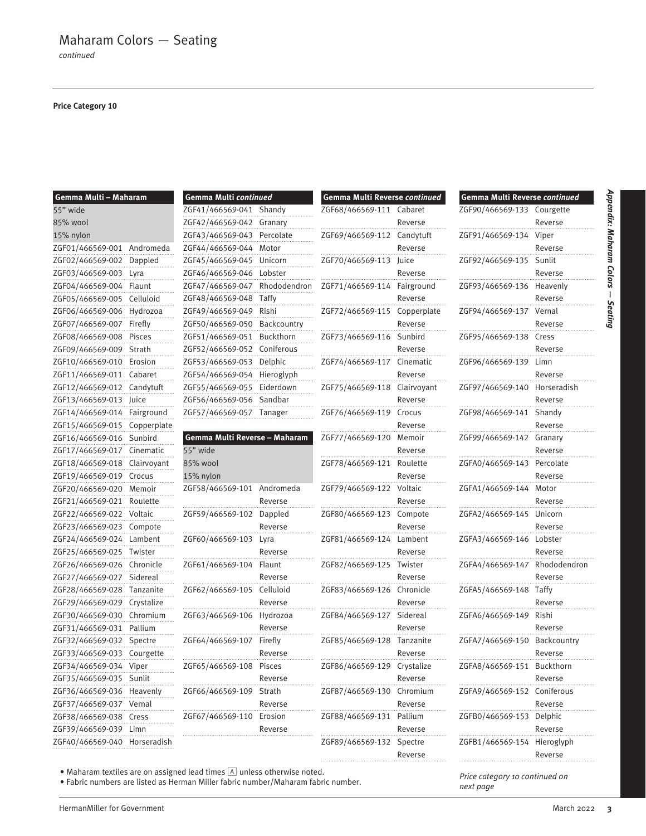### **Price Category 10**

| Gemma Multi - Maharam        |             |
|------------------------------|-------------|
| 55" wide                     |             |
| 85% wool                     |             |
| 15% nylon                    |             |
| ZGF01/466569-001             | Andromeda   |
| ZGF02/466569-002             | Dappled     |
| ZGF03/466569-003             | Lyra        |
| ZGF04/466569-004             | Flaunt      |
| ZGF05/466569-005             | Celluloid   |
| ZGF06/466569-006             | Hydrozoa    |
| ZGF07/466569-007             | Firefly     |
| ZGF08/466569-008             | Pisces      |
| ZGF09/466569-009             | Strath      |
| ZGF10/466569-010             | Erosion     |
| ZGF11/466569-011             | Cabaret     |
| ZGF12/466569-012             | Candytuft   |
| ZGF13/466569-013             | Juice       |
| ZGF14/466569-014             | Fairground  |
| ZGF15/466569-015             | Copperplate |
| ZGF16/466569-016             | Sunbird     |
| ZGF17/466569-017             | Cinematic   |
| ZGF18/466569-018             | Clairvoyant |
| ZGF19/466569-019             | Crocus      |
| ZGF20/466569-020             | Memoir      |
| ZGF21/466569-021             | Roulette    |
| ZGF22/466569-022             | Voltaic     |
| ZGF23/466569-023             | Compote     |
| ZGF24/466569-024             | Lambent     |
| ZGF25/466569-025             | Twister     |
| ZGF26/466569-026             | Chronicle   |
| ZGF27/466569-027             | Sidereal    |
| ZGF28/466569-028             | Tanzanite   |
| ZGF29/466569-029             | Crystalize  |
| ZGF30/466569-030             | Chromium    |
| ZGF31/466569-031             | Pallium     |
| ZGF32/466569-032             | Spectre     |
| ZGF33/466569-033             | Courgette   |
| ZGF34/466569-034 Viper       |             |
| ZGF35/466569-035 Sunlit      |             |
|                              |             |
| ZGF37/466569-037 Vernal      |             |
| ZGF38/466569-038 Cress       |             |
| ZGF39/466569-039 Limn        |             |
| ZGF40/466569-040 Horseradish |             |

| Gemma Multi continued         |              |
|-------------------------------|--------------|
| ZGF41/466569-041              | Shandy       |
| ZGF42/466569-042              | Granary      |
| ZGF43/466569-043              | Percolate    |
| ZGF44/466569-044              | Motor        |
| ZGF45/466569-045              | Unicorn      |
| ZGF46/466569-046              | Lobster      |
| ZGF47/466569-047              | Rhododendron |
| ZGF48/466569-048              | Taffy        |
| ZGF49/466569-049              | Rishi        |
| ZGF50/466569-050              | Backcountry  |
| ZGF51/466569-051              | Buckthorn    |
| ZGF52/466569-052              | Coniferous   |
| ZGF53/466569-053              | Delphic      |
| ZGF54/466569-054              | Hieroglyph   |
| ZGF55/466569-055              | Eiderdown    |
| ZGF56/466569-056              | Sandbar      |
| ZGF57/466569-057              | Tanager      |
|                               |              |
| Gemma Multi Reverse - Maharam |              |
| 55" wide                      |              |
| 85% wool                      |              |
| 15% nylon                     |              |
| ZGF58/466569-101              | Andromeda    |
|                               | Reverse      |
| ZGF59/466569-102              | Dappled      |
|                               | Reverse      |
| ZGF60/466569-103              | Lyra         |
|                               | Reverse      |
| ZGF61/466569-104              | Flaunt       |
|                               | Reverse      |
| ZGF62/466569-105              | Celluloid    |
|                               | Reverse      |
| ZGF63/466569-106              | Hydrozoa     |
|                               | Reverse      |
| ZGF64/466569-107              | Firefly      |
|                               | Reverse      |
| ZGF65/466569-108              | Pisces       |
|                               | Reverse      |
| ZGF66/466569-109 Strath       |              |
|                               | Reverse      |
| ZGF67/466569-110 Erosion      | .            |
|                               | Reverse      |
|                               | .            |
|                               |              |

| Gemma Multi Reverse continued |                    |
|-------------------------------|--------------------|
| ZGF68/466569-111              | Cabaret            |
|                               | Reverse            |
| ZGF69/466569-112              | Candytuft          |
|                               | Reverse            |
| ZGF70/466569-113              | Juice              |
|                               | Reverse            |
| ZGF71/466569-114              | Fairground         |
|                               | Reverse            |
| ZGF72/466569-115              | Copperplate        |
|                               | Reverse            |
| ZGF73/466569-116              | Sunbird            |
|                               | Reverse            |
| ZGF74/466569-117              | Cinematic          |
|                               | Reverse            |
| ZGF75/466569-118              | Clairvoyant        |
|                               | Reverse            |
| ZGF76/466569-119              | Crocus             |
|                               | Reverse            |
| ZGF77/466569-120              | Memoir             |
|                               | Reverse            |
| ZGF78/466569-121              | Roulette           |
|                               | Reverse            |
| ZGF79/466569-122              | Voltaic            |
|                               | Reverse            |
| ZGF80/466569-123              | Compote            |
| ZGF81/466569-124              | Reverse            |
|                               | Lambent            |
| ZGF82/466569-125              | Reverse<br>Twister |
|                               | Reverse            |
| ZGF83/466569-126              | Chronicle          |
|                               | Reverse            |
| ZGF84/466569-127              | Sidereal           |
|                               | Reverse            |
| ZGF85/466569-128              | Tanzanite          |
|                               | Reverse            |
| ZGF86/466569-129              | Crystalize         |
|                               | Reverse            |
| ZGF87/466569-130              | Chromium           |
|                               | Reverse            |
| ZGF88/466569-131              | .<br>Pallium       |
|                               | Reverse            |
| ZGF89/466569-132              | .<br>Spectre       |
|                               | Reverse            |

| Gemma Multi Reverse continued |              |
|-------------------------------|--------------|
| ZGF90/466569-133              | Courgette    |
|                               | Reverse      |
| ZGF91/466569-134              | Viper        |
|                               | Reverse      |
| ZGF92/466569-135              | Sunlit       |
|                               | Reverse      |
| ZGF93/466569-136              | Heavenly     |
|                               | Reverse      |
| ZGF94/466569-137              | Vernal       |
|                               | Reverse      |
| ZGF95/466569-138              | Cress        |
|                               | Reverse      |
| ZGF96/466569-139              | Limn         |
|                               | Reverse      |
| ZGF97/466569-140              | Horseradish  |
|                               | Reverse      |
| ZGF98/466569-141              | Shandy       |
|                               | Reverse      |
| ZGF99/466569-142              | Granary      |
|                               | Reverse      |
| ZGFA0/466569-143              | Percolate    |
|                               | Reverse      |
| ZGFA1/466569-144              | Motor        |
|                               | Reverse      |
| ZGFA2/466569-145              | Unicorn      |
|                               | Reverse      |
| ZGFA3/466569-146              | Lobster      |
|                               | Reverse      |
| ZGFA4/466569-147              | Rhododendron |
|                               | Reverse      |
| ZGFA5/466569-148              | Taffy        |
|                               | Reverse      |

 $\bullet$  Maharam textiles are on assigned lead times  $\boxed{\mathbb{A}}$  unless otherwise noted.

• Fabric numbers are listed as Herman Miller fabric number/Maharam fabric number.

HermanMiller for Government **300 and 2022 <b>3** and 2022 **3** and 2020 **1** and 2022 **3** and 2022 **3** and 2022 **3** and 2022 **3** and 2022 **3** and 2022 **3** and 2022 **3** and 2022 **3** and 2022 **3** and 2022 **3** and 2022 **3** and 202

*Price category 10 continued on next page*

ZGFB1/466569-154 Hieroglyph

ZGFA6/466569-149 Rishi

ZGFA7/466569-150 Backcountry

ZGFA8/466569-151 Buckthorn

ZGFA9/466569-152 Coniferous

ZGFB0/466569-153 Delphic

Reverse

Reverse

Reverse

Reverse

Reverse

Reverse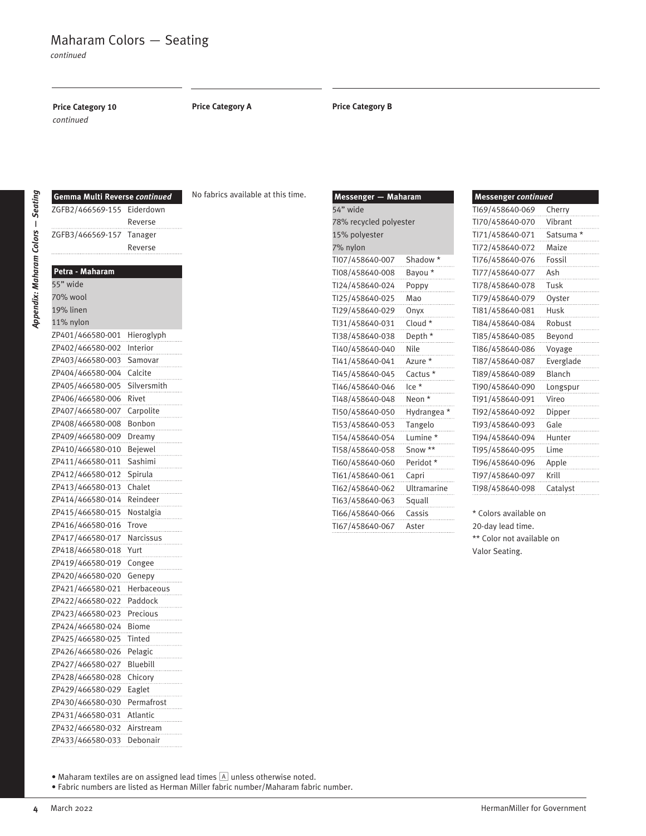**Price Category 10 Price Category A Price Category B** *continued*

**Gemma Multi Reverse** *continued* ZGFB2/466569-155 Eiderdown

Reverse

*Appendix: Maharam Colors*  **—** *Seating*

| ZGFB3/466569-157 | lanager      |
|------------------|--------------|
|                  | Reverse      |
|                  |              |
| Petra - Maharam  |              |
| 55" wide         |              |
| 70% wool         |              |
| 19% linen        |              |
| 11% nylon        |              |
| ZP401/466580-001 | Hieroglyph   |
| ZP402/466580-002 | Interior     |
| ZP403/466580-003 | Samovar      |
| ZP404/466580-004 | Calcite      |
| ZP405/466580-005 | Silversmith  |
| ZP406/466580-006 | Rivet        |
| ZP407/466580-007 | Carpolite    |
| ZP408/466580-008 | Bonbon       |
| ZP409/466580-009 | Dreamy       |
| ZP410/466580-010 | Bejewel      |
| ZP411/466580-011 | Sashimi      |
| ZP412/466580-012 | Spirula      |
| ZP413/466580-013 | Chalet       |
| ZP414/466580-014 | Reindeer     |
| ZP415/466580-015 | Nostalgia    |
| ZP416/466580-016 | Trove        |
| ZP417/466580-017 | Narcissus    |
| ZP418/466580-018 | Yurt         |
| ZP419/466580-019 | Congee       |
| ZP420/466580-020 | Genepy       |
| ZP421/466580-021 | Herbaceous   |
| ZP422/466580-022 | Paddock      |
| ZP423/466580-023 | Precious     |
| ZP424/466580-024 | <b>Biome</b> |
| ZP425/466580-025 | Tinted       |
| ZP426/466580-026 | Pelagic      |
| ZP427/466580-027 | Bluebill     |
| ZP428/466580-028 | Chicory      |
| ZP429/466580-029 | Eaglet       |
| ZP430/466580-030 | Permafrost   |
| ZP431/466580-031 | Atlantic     |
| ZP432/466580-032 | Airstream    |
| ZP433/466580-033 | Debonair     |

No fabrics available at this time.

| 54" wide<br>78% recycled polyester<br>15% polyester<br>7% nylon<br>Shadow*<br>TI07/458640-007<br>TI08/458640-008<br>Bayou *<br>Tl24/458640-024<br>Poppy<br>Tl25/458640-025<br>Mao<br>Tl29/458640-029<br>Onyx<br>Tl31/458640-031<br>Cloud *<br>TI38/458640-038<br>Depth *<br>TI40/458640-040<br>Nile<br>TI41/458640-041<br>Azure *<br>TI45/458640-045<br>Cactus *<br>TI46/458640-046<br>$lce *$<br>TI48/458640-048<br>Neon *<br>TI50/458640-050<br>Hydrangea<br>TI53/458640-053<br>Tangelo<br>TI54/458640-054<br>Lumine *<br>Snow **<br>TI58/458640-058<br>TI60/458640-060<br>Peridot*<br>TI61/458640-061<br>Capri<br>TI62/458640-062<br>Ultramarine<br>TI63/458640-063<br>Squall<br>TI66/458640-066<br>Cassis<br>TI67/458640-067<br>Aster | Messenger - Maharam |  |  |  |
|-------------------------------------------------------------------------------------------------------------------------------------------------------------------------------------------------------------------------------------------------------------------------------------------------------------------------------------------------------------------------------------------------------------------------------------------------------------------------------------------------------------------------------------------------------------------------------------------------------------------------------------------------------------------------------------------------------------------------------------------|---------------------|--|--|--|
|                                                                                                                                                                                                                                                                                                                                                                                                                                                                                                                                                                                                                                                                                                                                           |                     |  |  |  |
|                                                                                                                                                                                                                                                                                                                                                                                                                                                                                                                                                                                                                                                                                                                                           |                     |  |  |  |
|                                                                                                                                                                                                                                                                                                                                                                                                                                                                                                                                                                                                                                                                                                                                           |                     |  |  |  |
|                                                                                                                                                                                                                                                                                                                                                                                                                                                                                                                                                                                                                                                                                                                                           |                     |  |  |  |
|                                                                                                                                                                                                                                                                                                                                                                                                                                                                                                                                                                                                                                                                                                                                           |                     |  |  |  |
|                                                                                                                                                                                                                                                                                                                                                                                                                                                                                                                                                                                                                                                                                                                                           |                     |  |  |  |
|                                                                                                                                                                                                                                                                                                                                                                                                                                                                                                                                                                                                                                                                                                                                           |                     |  |  |  |
|                                                                                                                                                                                                                                                                                                                                                                                                                                                                                                                                                                                                                                                                                                                                           |                     |  |  |  |
|                                                                                                                                                                                                                                                                                                                                                                                                                                                                                                                                                                                                                                                                                                                                           |                     |  |  |  |
|                                                                                                                                                                                                                                                                                                                                                                                                                                                                                                                                                                                                                                                                                                                                           |                     |  |  |  |
|                                                                                                                                                                                                                                                                                                                                                                                                                                                                                                                                                                                                                                                                                                                                           |                     |  |  |  |
|                                                                                                                                                                                                                                                                                                                                                                                                                                                                                                                                                                                                                                                                                                                                           |                     |  |  |  |
|                                                                                                                                                                                                                                                                                                                                                                                                                                                                                                                                                                                                                                                                                                                                           |                     |  |  |  |
|                                                                                                                                                                                                                                                                                                                                                                                                                                                                                                                                                                                                                                                                                                                                           |                     |  |  |  |
|                                                                                                                                                                                                                                                                                                                                                                                                                                                                                                                                                                                                                                                                                                                                           |                     |  |  |  |
|                                                                                                                                                                                                                                                                                                                                                                                                                                                                                                                                                                                                                                                                                                                                           |                     |  |  |  |
|                                                                                                                                                                                                                                                                                                                                                                                                                                                                                                                                                                                                                                                                                                                                           |                     |  |  |  |
|                                                                                                                                                                                                                                                                                                                                                                                                                                                                                                                                                                                                                                                                                                                                           |                     |  |  |  |
|                                                                                                                                                                                                                                                                                                                                                                                                                                                                                                                                                                                                                                                                                                                                           |                     |  |  |  |
|                                                                                                                                                                                                                                                                                                                                                                                                                                                                                                                                                                                                                                                                                                                                           |                     |  |  |  |
|                                                                                                                                                                                                                                                                                                                                                                                                                                                                                                                                                                                                                                                                                                                                           |                     |  |  |  |
|                                                                                                                                                                                                                                                                                                                                                                                                                                                                                                                                                                                                                                                                                                                                           |                     |  |  |  |
|                                                                                                                                                                                                                                                                                                                                                                                                                                                                                                                                                                                                                                                                                                                                           |                     |  |  |  |
|                                                                                                                                                                                                                                                                                                                                                                                                                                                                                                                                                                                                                                                                                                                                           |                     |  |  |  |
|                                                                                                                                                                                                                                                                                                                                                                                                                                                                                                                                                                                                                                                                                                                                           |                     |  |  |  |
|                                                                                                                                                                                                                                                                                                                                                                                                                                                                                                                                                                                                                                                                                                                                           |                     |  |  |  |

| <b>Messenger continued</b> |               |
|----------------------------|---------------|
| TI69/458640-069            | Cherry        |
| TI70/458640-070            | Vibrant       |
| TI71/458640-071            | Satsuma *     |
| TI72/458640-072            | Maize         |
| TI76/458640-076            | Fossil        |
| TI77/458640-077            | Ash           |
| TI78/458640-078            | Tusk          |
| TI79/458640-079            | Oyster        |
| TI81/458640-081            | Husk          |
| TI84/458640-084            | Robust        |
| TI85/458640-085            | Beyond        |
| TI86/458640-086            | Voyage        |
| TI87/458640-087            | Everglade     |
| TI89/458640-089            | Blanch        |
| TI90/458640-090            | Longspur      |
| TI91/458640-091            | Vireo         |
| TI92/458640-092            | Dipper        |
| TI93/458640-093            | Gale          |
| TI94/458640-094            | Hunter        |
| TI95/458640-095            | Lime          |
| TI96/458640-096            | Apple         |
| TI97/458640-097            | Krill         |
| TI98/458640-098            | Catalyst<br>. |
|                            |               |

\* Colors available on 20-day lead time. \*\* Color not available on Valor Seating.

• Maharam textiles are on assigned lead times  $\boxed{\mathbb{A}}$  unless otherwise noted.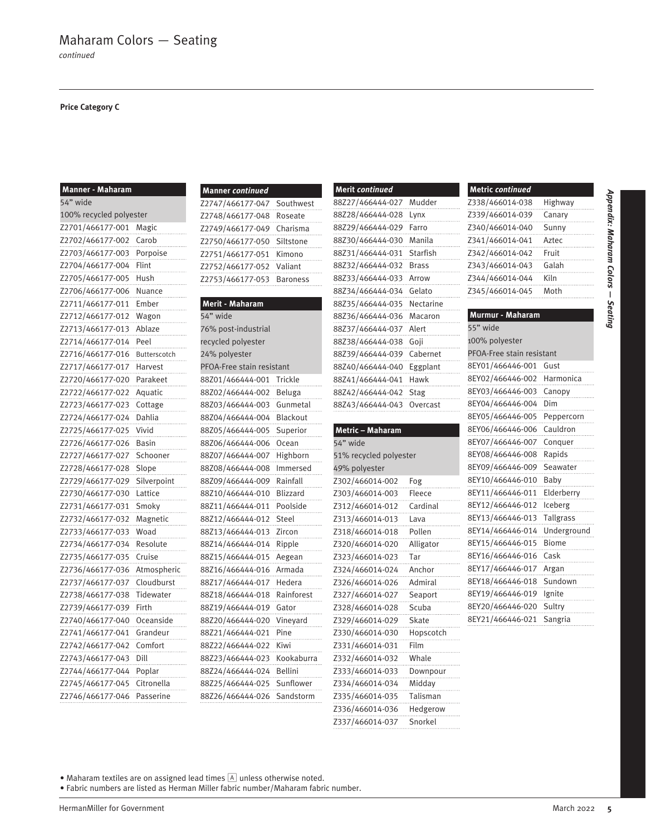### **Price Category C**

| <b>Manner - Maharam</b>        |             |
|--------------------------------|-------------|
| 54" wide                       |             |
|                                |             |
| 100% recycled polyester        |             |
| Z2701/466177-001               | Magic       |
| Z2702/466177-002               | Carob       |
| Z2703/466177-003               | Porpoise    |
| Z2704/466177-004               | Flint       |
| Z2705/466177-005               | Hush        |
| Z2706/466177-006               | Nuance      |
| Z2711/466177-011               | Ember       |
| Z2712/466177-012               | Wagon       |
| Z2713/466177-013               | Ablaze      |
| Z2714/466177-014               | Peel        |
| Z2716/466177-016               | Butterscoto |
| Z2717/466177-017               | Harvest     |
| Z2720/466177-020               | Parakeet    |
| Z2722/466177-022               | Aquatic     |
| Z2723/466177-023               | Cottage     |
| Z2724/466177-024               | Dahlia      |
| Z2725/466177-025               | Vivid       |
| Z2726/466177-026               | Basin       |
| Z2727/466177-027               | Schooner    |
| Z2728/466177-028               | Slope       |
| Z2729/466177-029               | Silverpoint |
| Z2730/466177-030               | Lattice     |
| Z2731/466177-031               | Smoky       |
| Z2732/466177-032               | Magnetic    |
| Z2733/466177-033               | Woad        |
| Z2734/466177-034               | Resolute    |
| Z2735/466177-035               | Cruise      |
| Z2736/466177-036               | Atmospheric |
| Z2737/466177-037               | Cloudburst  |
| Z2738/466177-038               | Tidewater   |
| Z2739/466177-039               | Firth       |
| Z2740/466177-040               | Oceanside   |
|                                |             |
| Z2741/466177-04 <mark>1</mark> | Grandeur    |
| Z2742/466177-042               | Comfort     |
| Z2743/466177-043               | Dill        |
| Z2744/466177-044               | Poplar      |
| Z2745/466177-045               | Citronella  |
| Z2746/466177-046               | Passerine   |

| <b>Manner continued</b>   |            |
|---------------------------|------------|
| Z2747/466177-047          | Southwest  |
| Z2748/466177-048          | Roseate    |
| Z2749/466177-049          | Charisma   |
| Z2750/466177-050          | Siltstone  |
| Z2751/466177-051          | Kimono     |
| Z2752/466177-052          | Valiant    |
| Z2753/466177-053          | Baroness   |
|                           |            |
| <b>Merit - Maharam</b>    |            |
| 54" wide                  |            |
| 76% post-industrial       |            |
| recycled polyester        |            |
| 24% polyester             |            |
| PFOA-Free stain resistant |            |
| 88Z01/466444-001          | Trickle    |
| 88Z02/466444-002          | Beluga     |
| 88Z03/466444-003          | Gunmetal   |
| 88Z04/466444-004          | Blackout   |
| 88Z05/466444-005          | Superior   |
| 88Z06/466444-006          | Ocean      |
| 88Z07/466444-007          | Highborn   |
| 88Z08/466444-008          | Immersed   |
| 88Z09/466444-009          | Rainfall   |
| 88Z10/466444-010          | Blizzard   |
| 88Z11/466444-011          | Poolside   |
| 88Z12/466444-012          | Steel      |
| 88Z13/466444-013          | Zircon     |
| 88Z14/466444-014          | Ripple     |
| 88Z15/466444-015          | Aegean     |
| 88Z16/466444-016          | Armada     |
| 88Z17/466444-017          | Hedera     |
| 88Z18/466444-018          | Rainforest |
| 88Z19/466444-019          | Gator      |
| 88Z20/466444-020          | Vineyard   |
| 88Z21/466444-021          | Pine       |
| 88Z22/466444-022          | Kiwi       |
| 88Z23/466444-023          | Kookaburr  |
| 88Z24/466444-024          | Bellini    |
| 88Z25/466444-025          | Sunflower  |
| 88Z26/466444-026          | Sandstorm  |
|                           |            |

| Merit continued  |           |
|------------------|-----------|
| 88Z27/466444-027 | Mudder    |
| 88Z28/466444-028 | Lynx      |
| 88Z29/466444-029 | Farro     |
| 88Z30/466444-030 | Manila    |
| 88Z31/466444-031 | Starfish  |
| 88Z32/466444-032 | Brass     |
| 88Z33/466444-033 | Arrow     |
| 88Z34/466444-034 | Gelato    |
| 88Z35/466444-035 | Nectarine |
| 88Z36/466444-036 | Macaron   |
| 88Z37/466444-037 | Alert     |
| 88Z38/466444-038 | Goji      |
| 88Z39/466444-039 | Cabernet  |
| 88Z40/466444-040 | Eggplant  |
| 88Z41/466444-041 | Hawk      |
| 88Z42/466444-042 | Stag      |
| 88Z43/466444-043 | Overcast  |

# **Metric – Maharam** 54" wide 51% recycled polyester 49% polyester Z302/466014-002 Fog Z303/466014-003 Fleece Z312/466014-012 Cardinal Z313/466014-013 Lava Z318/466014-018 Pollen Z320/466014-020 Alligator Z323/466014-023 Tar Z324/466014-024 Anchor Z326/466014-026 Admiral Z327/466014-027 Seaport Z328/466014-028 Scuba Z329/466014-029 Skate Z330/466014-030 Hopscotch Z331/466014-031 Film Z332/466014-032 Whale Z333/466014-033 Downpour Z334/466014-034 Midday Z335/466014-035 Talisman Z336/466014-036 Hedgerow

Z337/466014-037 Snorkel

| <b>Metric continued</b> |         |
|-------------------------|---------|
| Z338/466014-038         | Highway |
| Z339/466014-039         | Canary  |
| Z340/466014-040         | Sunny   |
| Z341/466014-041         | Aztec   |
| Z342/466014-042         | Fruit   |
| Z343/466014-043         | Galah   |
| Z344/466014-044         | Kiln    |
| Z345/466014-045         | Moth    |
|                         |         |

*Appendix: Maharam Colors Seating*

## **Murmur - Maharam** 55" wide 100% polyester PFOA-Free stain resistant 8EY01/466446-001 Gust 8EY02/466446-002 Harmonica 8EY03/466446-003 Canopy 8EY04/466446-004 Dim 8EY05/466446-005 Peppercorn 8EY06/466446-006 Cauldron 8EY07/466446-007 Conquer 8EY08/466446-008 Rapids 8EY09/466446-009 Seawater 8EY10/466446-010 Baby 8EY11/466446-011 Elderberry 8EY12/466446-012 Iceberg 8EY13/466446-013 Tallgrass 8EY14/466446-014 Underground 8EY15/466446-015 Biome 8EY16/466446-016 Cask 8EY17/466446-017 Argan 8EY18/466446-018 Sundown 8EY19/466446-019 Ignite 8EY20/466446-020 Sultry 8EY21/466446-021 Sangria

• Maharam textiles are on assigned lead times  $[A]$  unless otherwise noted.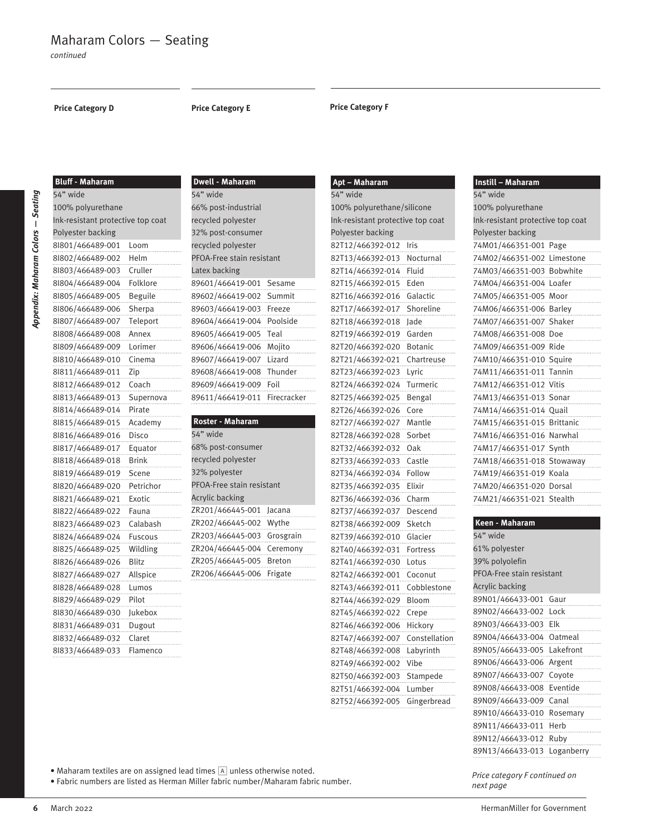**Price Category D**

**Bluff - Maharam**

### **Price Category E Price Category F**

**Apt – Maharam**

| ׇ֠     |
|--------|
| ٠      |
|        |
|        |
| ı      |
|        |
|        |
| ı      |
|        |
|        |
|        |
| ı      |
| ı<br>٠ |
|        |
|        |
|        |
|        |
|        |
|        |
|        |
|        |
| ij     |
|        |
|        |
|        |
|        |
|        |
|        |

| 54" wide                          |           |
|-----------------------------------|-----------|
| 100% polyurethane                 |           |
| Ink-resistant protective top coat |           |
| Polyester backing                 |           |
| 81801/466489-001                  | Loom      |
| 81802/466489-002                  | Helm      |
| 81803/466489-003                  | Cruller   |
| 81804/466489-004                  | Folklore  |
| 81805/466489-005                  | Beguile   |
| 81806/466489-006                  | Sherpa    |
| 81807/466489-007                  | Teleport  |
| 81808/466489-008                  | Annex     |
| 81809/466489-009                  | Lorimer   |
| 8 810/466489-010                  | Cinema    |
| 8 811/466489-011                  | Zip       |
| 8 812/466489-012                  | Coach     |
| 8 813/466489-013                  | Supernova |
| 8 814/466489-014                  | Pirate    |
| 8 815/466489-015                  | Academy   |
| 8 816/466489-016                  | Disco     |
| 8l817/466489-017                  | Equator   |
| 8 818/466489-018                  | Brink     |
| 8l819/466489-019                  | Scene     |
| 81820/466489-020                  | Petrichor |
| 81821/466489-021                  | Exotic    |
| 81822/466489-022                  | Fauna     |
| 81823/466489-023                  | Calabash  |
| 81824/466489-024                  | Fuscous   |
| 81825/466489-025                  | Wildling  |
| 81826/466489-026                  | Blitz     |
| 81827/466489-027                  | Allspice  |
| 81828/466489-028                  | Lumos     |
| 81829/466489-029                  | Pilot     |
| 81830/466489-030                  | Jukebox   |
| 81831/466489-031                  | Dugout    |
| 81832/466489-032                  | Claret    |
| 81833/466489-033                  | Flamenco  |

| <b>Dwell - Maharam</b>    |             |
|---------------------------|-------------|
| 54" wide                  |             |
| 66% post-industrial       |             |
| recycled polyester        |             |
| 32% post-consumer         |             |
| recycled polyester        |             |
| PFOA-Free stain resistant |             |
| Latex backing             |             |
| 89601/466419-001          | Sesame      |
| 89602/466419-002 Summit   | .           |
| 89603/466419-003 Freeze   | .           |
| 89604/466419-004          | Poolside    |
| 89605/466419-005          | Teal<br>.   |
| 89606/466419-006          | Mojito<br>. |
| 89607/466419-007 Lizard   | .           |
| 89608/466419-008 Thunder  | .           |
| 89609/466419-009 Foil     |             |
| 89611/466419-011          | Firecracker |

| Roster - Maharam          |           |
|---------------------------|-----------|
| 54" wide                  |           |
| 68% post-consumer         |           |
| recycled polyester        |           |
| 32% polyester             |           |
| PFOA-Free stain resistant |           |
| <b>Acrylic backing</b>    |           |
| ZR201/466445-001 Jacana   |           |
| ZR202/466445-002 Wythe    |           |
| ZR203/466445-003          | Grosgrain |
| ZR204/466445-004          | Ceremony  |
| ZR205/466445-005 Breton   |           |
| ZR206/466445-006          | Frigate   |

| 54" wide                          |               |
|-----------------------------------|---------------|
| 100% polyurethane/silicone        |               |
| Ink-resistant protective top coat |               |
| Polyester backing                 |               |
| 82T12/466392-012                  | Iris          |
| 82T13/466392-013                  | Nocturnal     |
| 82T14/466392-014                  | Fluid         |
| 82T15/466392-015                  | Eden          |
| 82T16/466392-016                  | Galactic      |
| 82T17/466392-017                  | Shoreline     |
| 82T18/466392-018                  | Jade          |
| 82T19/466392-019                  | Garden        |
| 82T20/466392-020                  | Botanic       |
| 82T21/466392-021                  | Chartreuse    |
| 82T23/466392-023                  | Lyric         |
| 82T24/466392-024                  | Turmeric      |
| 82T25/466392-025                  | Bengal        |
| 82T26/466392-026                  | Core          |
| 82T27/466392-027                  | Mantle        |
| 82T28/466392-028                  | Sorbet        |
| 82T32/466392-032                  | 0ak           |
| 82T33/466392-033                  | Castle        |
| 82T34/466392-034                  | Follow        |
| 82T35/466392-035                  | Elixir        |
| 82T36/466392-036                  | Charm         |
| 82T37/466392-037                  | Descend       |
| 82T38/466392-009                  | Sketch        |
| 82T39/466392-010                  | Glacier       |
| 82T40/466392-031                  | Fortress      |
| 82T41/466392-030                  | Lotus         |
| 82T42/466392-001                  | Coconut       |
| 82T43/466392-011                  | Cobbleston    |
| 82T44/466392-029                  | Bloom         |
| 82T45/466392-022                  | Crepe         |
| 82T46/466392-006                  | Hickory       |
| 82T47/466392-007                  | Constellation |
| 82T48/466392-008                  | Labyrinth     |
| 82T49/466392-002                  | Vibe          |
| 82T50/466392-003                  | Stampede      |
| 82T51/466392-004                  | Lumber        |
| 82T52/466392-005                  | Gingerbread   |
|                                   |               |

| Instill - Maharam                     |  |
|---------------------------------------|--|
| 54" wide                              |  |
| 100% polyurethane                     |  |
| Ink-resistant protective top coat     |  |
| Polyester backing                     |  |
| 74M01/466351-001 Page<br>.            |  |
|                                       |  |
| 74M03/466351-003 Bobwhite             |  |
|                                       |  |
| -----------<br>74M05/466351-005 Moor  |  |
| ----------<br>74M06/466351-006 Barley |  |
|                                       |  |
|                                       |  |
|                                       |  |
|                                       |  |
|                                       |  |
|                                       |  |
|                                       |  |
| 74M14/466351-014 Quail<br>.           |  |
|                                       |  |
|                                       |  |
| 74M17/466351-017 Synth<br>.           |  |
| 74M18/466351-018 Stowaway             |  |
|                                       |  |
| 74M20/466351-020 Dorsal               |  |
| 74M21/466351-021 Stealth<br>.         |  |

| Keen - Maharam             |      |
|----------------------------|------|
| 54" wide                   |      |
| 61% polyester              |      |
| 39% polyolefin             |      |
| PFOA-Free stain resistant  |      |
| <b>Acrylic backing</b>     |      |
| 89N01/466433-001           | Gaur |
| 89N02/466433-002 Lock      |      |
| 89N03/466433-003 Elk       |      |
| 89N04/466433-004 Oatmeal   |      |
| 89N05/466433-005 Lakefront |      |
| 89N06/466433-006 Argent    |      |
| 89N07/466433-007 Covote    |      |
| 89N08/466433-008 Eventide  |      |
| 89N09/466433-009 Canal     |      |
| 89N10/466433-010 Rosemary  |      |

• Maharam textiles are on assigned lead times  $\boxed{\mathbb{A}}$  unless otherwise noted.

• Fabric numbers are listed as Herman Miller fabric number/Maharam fabric number.

*Price category F continued on next page*

89N11/466433-011 Herb 89N12/466433-012 Ruby 89N13/466433-013 Loganberry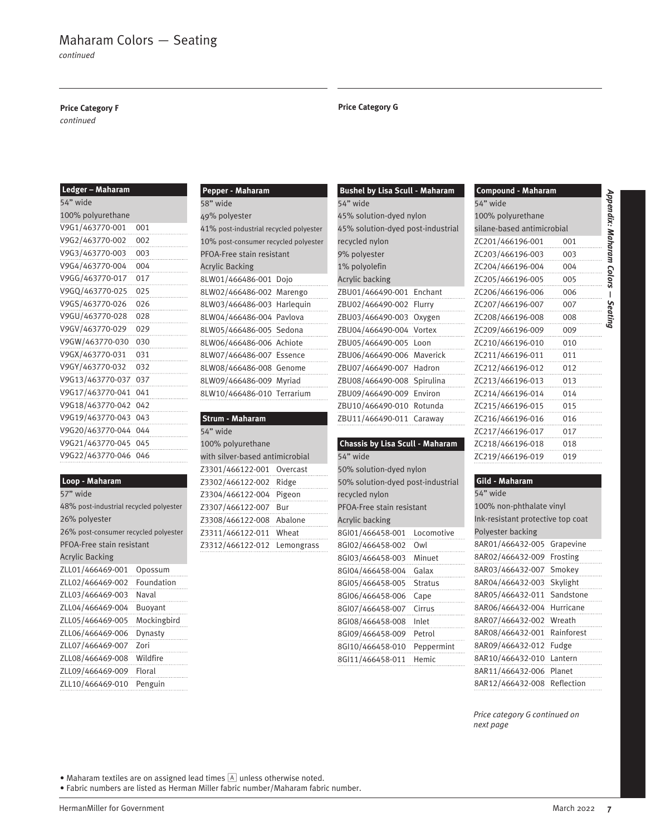# Maharam Colors — Seating

*continued*

### **Price Category F**

*continued*

| Ledger - Maharam |
|------------------|
| 54" wide         |

| 100% polyurethane |          |
|-------------------|----------|
| V9G1/463770-001   | 001      |
| V9G2/463770-002   | 002      |
| V9G3/463770-003   | 003<br>. |
| V9G4/463770-004   | 004<br>. |
| V9GG/463770-017   | 017<br>. |
| V9GQ/463770-025   | 025<br>. |
| V9GS/463770-026   | 026      |
| V9GU/463770-028   | 028      |
| V9GV/463770-029   | 029      |
| V9GW/463770-030   | 030<br>. |
| V9GX/463770-031   | 031<br>. |
| V9GY/463770-032   | 032<br>. |
| V9G13/463770-037  | 037<br>. |
| V9G17/463770-041  | 041<br>. |
| V9G18/463770-042  | 042      |
| V9G19/463770-043  | 043      |
| V9G20/463770-044  | 044<br>. |
| V9G21/463770-045  | 045      |
| V9G22/463770-046  | 046      |
|                   |          |

|           | Loop - Maharam |
|-----------|----------------|
| $-72.1 -$ |                |

| $\overline{\phantom{a}}$<br>wiue       |             |
|----------------------------------------|-------------|
| 48% post-industrial recycled polyester |             |
| 26% polyester                          |             |
| 26% post-consumer recycled polyester   |             |
| PFOA-Free stain resistant              |             |
| <b>Acrylic Backing</b>                 |             |
| ZLL01/466469-001                       | Opossum     |
| ZLL02/466469-002                       | Foundation  |
| ZLL03/466469-003                       | Naval       |
| ZLL04/466469-004                       | Buoyant     |
| ZLL05/466469-005                       | Mockingbird |
| ZLL06/466469-006                       | Dynasty     |
| ZLL07/466469-007                       | Zori        |
| ZLL08/466469-008                       | Wildfire    |
| ZLL09/466469-009                       | Floral      |
| ZLL10/466469-010                       | Penguin     |

| <b>Pepper - Maharam</b>                |  |
|----------------------------------------|--|
| 58" wide                               |  |
| 49% polyester                          |  |
| 41% post-industrial recycled polyester |  |
| 10% post-consumer recycled polyester   |  |
| PFOA-Free stain resistant              |  |
| <b>Acrylic Backing</b>                 |  |
| 8LW01/466486-001 Dojo                  |  |
| 8LW02/466486-002 Marengo               |  |
| 8LW03/466486-003 Harlequin             |  |
| 8LW04/466486-004 Pavlova               |  |
| 8LW05/466486-005 Sedona                |  |
| 8LW06/466486-006 Achiote               |  |
| 8LW07/466486-007 Essence               |  |
| 8LW08/466486-008 Genome                |  |
| 8LW09/466486-009 Myriad                |  |
| 8LW10/466486-010 Terrarium             |  |
|                                        |  |

# **Strum - Maharam**

| 54" wide                        |     |
|---------------------------------|-----|
| 100% polyurethane               |     |
| with silver-based antimicrobial |     |
| Z3301/466122-001 Overcast       |     |
| Z3302/466122-002 Ridge          |     |
| Z3304/466122-004 Pigeon         |     |
| Z3307/466122-007                | Bur |
| Z3308/466122-008 Abalone        |     |
| Z3311/466122-011 Wheat          |     |
| Z3312/466122-012 Lemongrass     |     |
|                                 |     |

### **Price Category G**

| <b>Bushel by Lisa Scull - Maharam</b> |             |
|---------------------------------------|-------------|
| 54" wide                              |             |
| 45% solution-dyed nylon               |             |
| 45% solution-dyed post-industrial     |             |
| recycled nylon                        |             |
| 9% polyester                          |             |
| 1% polyolefin                         |             |
| <b>Acrylic backing</b>                |             |
| ZBU01/466490-001                      | Enchant     |
| ZBU02/466490-002                      | Flurry      |
| ZBU03/466490-003                      | Oxygen<br>. |
| ZBU04/466490-004                      | Vortex<br>. |
| ZBU05/466490-005                      | Loon        |
| ZBU06/466490-006                      | Maverick    |
| ZBU07/466490-007                      | Hadron      |
| ZBU08/466490-008                      | Spirulina   |
| ZBU09/466490-009                      | Environ     |
| ZBU10/466490-010                      | Rotunda     |
| ZBU11/466490-011                      | Caraway     |
|                                       |             |

### **Chassis by Lisa Scull - Maharam** 54" wide

| 50% solution-dved nylon           |                |
|-----------------------------------|----------------|
| 50% solution-dyed post-industrial |                |
| recycled nylon                    |                |
| PFOA-Free stain resistant         |                |
| Acrylic backing                   |                |
| 8GI01/466458-001                  | Locomotive     |
| 8GI02/466458-002                  | Owl            |
| 8GI03/466458-003                  | Minuet         |
| 8GI04/466458-004                  | Galax          |
| 8GI05/466458-005                  | <b>Stratus</b> |
| 8GI06/466458-006                  | Cape           |
| 8GI07/466458-007                  | Cirrus         |
| 8GI08/466458-008                  | Inlet          |
| 8GI09/466458-009                  | Petrol         |
| 8GI10/466458-010                  | Peppermint     |
| 8GI11/466458-011                  | Hemic          |
|                                   |                |

| <b>Compound - Maharam</b>  |     |  |
|----------------------------|-----|--|
| 54" wide                   |     |  |
| 100% polyurethane          |     |  |
| silane-based antimicrobial |     |  |
| ZC201/466196-001           | 001 |  |
| ZC203/466196-003           | 003 |  |
| ZC204/466196-004           | 004 |  |
| ZC205/466196-005           | 005 |  |
| ZC206/466196-006           | 006 |  |
| ZC207/466196-007           | 007 |  |
| ZC208/466196-008           | 008 |  |
| ZC209/466196-009           | 009 |  |
| ZC210/466196-010           | 010 |  |
| ZC211/466196-011           | 011 |  |
| ZC212/466196-012           | 012 |  |
| ZC213/466196-013           | 013 |  |
| ZC214/466196-014           | 014 |  |
| ZC215/466196-015           | 015 |  |

*Appendix: Maharam Colors Seating*

### **Gild - Maharam**

ZC216/466196-016 016 ZC217/466196-017 017 ZC218/466196-018 018 ZC219/466196-019 019

| 54" wide                          |            |
|-----------------------------------|------------|
| 100% non-phthalate vinyl          |            |
| Ink-resistant protective top coat |            |
| Polyester backing                 |            |
| 8AR01/466432-005                  | Grapevine  |
| 8AR02/466432-009                  | Frosting   |
| 8AR03/466432-007                  | Smokey     |
| 8AR04/466432-003                  | Skylight   |
| 8AR05/466432-011                  | Sandstone  |
| 8AR06/466432-004                  | Hurricane  |
| 8AR07/466432-002                  | Wreath     |
| 8AR08/466432-001                  | Rainforest |
| 8AR09/466432-012                  | Fudge      |
| 8AR10/466432-010                  | Lantern    |
| 8AR11/466432-006                  | Planet     |
| 8AR12/466432-008                  | Reflection |

*Price category G continued on next page*

 $\bullet$  Maharam textiles are on assigned lead times  $\boxed{\mathbb{A}}$  unless otherwise noted.